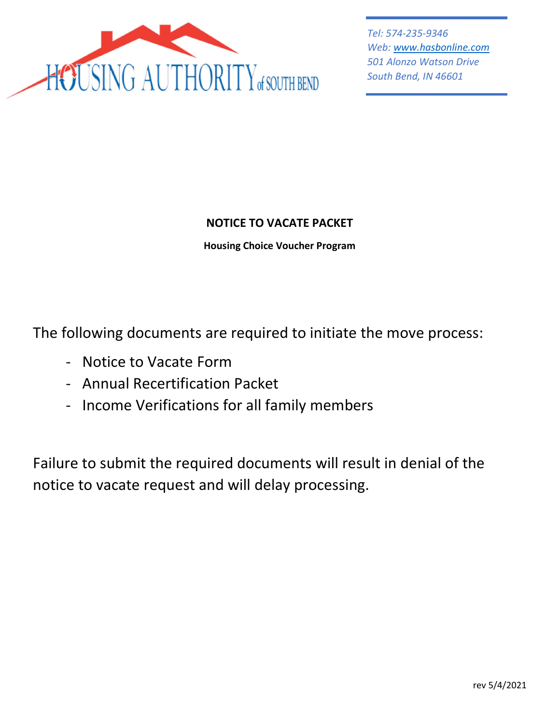

Tel: 574-235-9346 Web: www.hasbonline.com 501 Alonzo Watson Drive South Bend, IN 46601

# NOTICE TO VACATE PACKET

Housing Choice Voucher Program

The following documents are required to initiate the move process:

- Notice to Vacate Form
- Annual Recertification Packet
- Income Verifications for all family members

Failure to submit the required documents will result in denial of the notice to vacate request and will delay processing.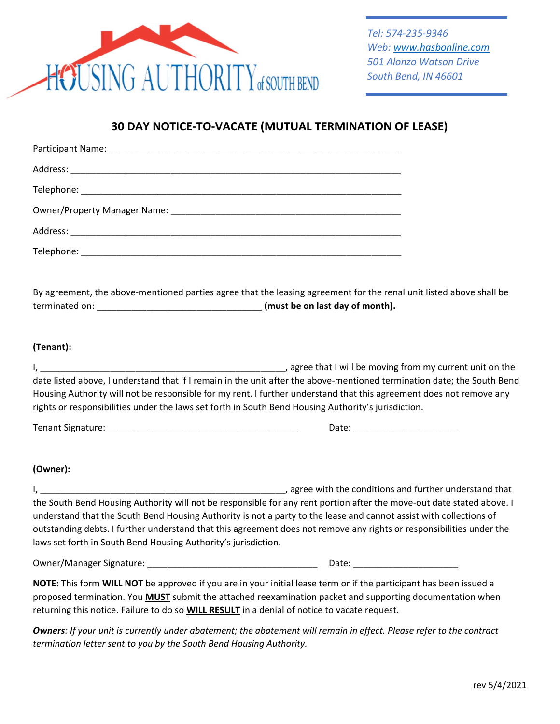

## 30 DAY NOTICE-TO-VACATE (MUTUAL TERMINATION OF LEASE)

By agreement, the above-mentioned parties agree that the leasing agreement for the renal unit listed above shall be terminated on: \_\_\_\_\_\_\_\_\_\_\_\_\_\_\_\_\_\_\_\_\_\_\_\_\_\_\_\_\_\_\_\_\_ (must be on last day of month).

## (Tenant):

| , agree that I will be moving from my current unit on the                                                               |
|-------------------------------------------------------------------------------------------------------------------------|
| date listed above, I understand that if I remain in the unit after the above-mentioned termination date; the South Bend |
| Housing Authority will not be responsible for my rent. I further understand that this agreement does not remove any     |
| rights or responsibilities under the laws set forth in South Bend Housing Authority's jurisdiction.                     |

| Tenant.<br>Signature: | . |
|-----------------------|---|
|-----------------------|---|

## (Owner):

I, \_\_\_\_\_\_\_\_\_\_\_\_\_\_\_\_\_\_\_\_\_\_\_\_\_\_\_\_\_\_\_\_\_\_\_\_\_\_\_\_\_\_\_\_\_\_\_\_\_, agree with the conditions and further understand that the South Bend Housing Authority will not be responsible for any rent portion after the move-out date stated above. I understand that the South Bend Housing Authority is not a party to the lease and cannot assist with collections of outstanding debts. I further understand that this agreement does not remove any rights or responsibilities under the laws set forth in South Bend Housing Authority's jurisdiction.

Owner/Manager Signature: \_\_\_\_\_\_\_\_\_\_\_\_\_\_\_\_\_\_\_\_\_\_\_\_\_\_\_\_\_\_\_\_\_\_ Date: \_\_\_\_\_\_\_\_\_\_\_\_\_\_\_\_\_\_\_\_\_

NOTE: This form WILL NOT be approved if you are in your initial lease term or if the participant has been issued a proposed termination. You MUST submit the attached reexamination packet and supporting documentation when returning this notice. Failure to do so **WILL RESULT** in a denial of notice to vacate request.

Owners: If your unit is currently under abatement; the abatement will remain in effect. Please refer to the contract termination letter sent to you by the South Bend Housing Authority.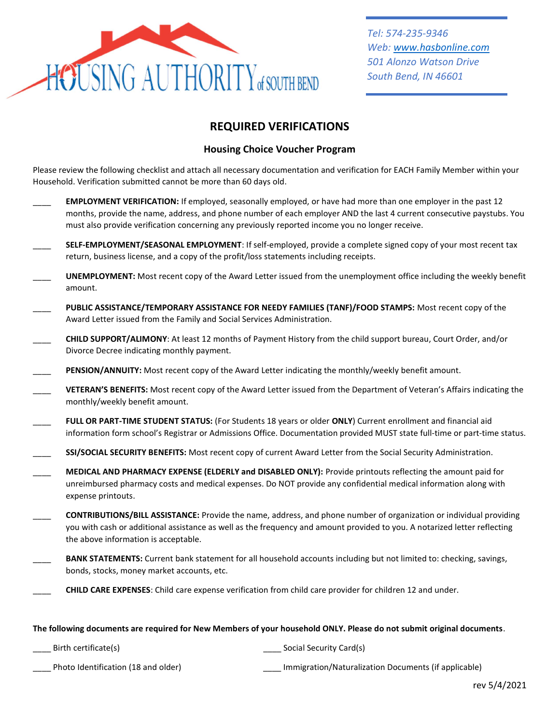

## REQUIRED VERIFICATIONS

### Housing Choice Voucher Program

Please review the following checklist and attach all necessary documentation and verification for EACH Family Member within your Household. Verification submitted cannot be more than 60 days old.

- EMPLOYMENT VERIFICATION: If employed, seasonally employed, or have had more than one employer in the past 12 months, provide the name, address, and phone number of each employer AND the last 4 current consecutive paystubs. You must also provide verification concerning any previously reported income you no longer receive.
- SELF-EMPLOYMENT/SEASONAL EMPLOYMENT: If self-employed, provide a complete signed copy of your most recent tax return, business license, and a copy of the profit/loss statements including receipts.
- UNEMPLOYMENT: Most recent copy of the Award Letter issued from the unemployment office including the weekly benefit amount.
- PUBLIC ASSISTANCE/TEMPORARY ASSISTANCE FOR NEEDY FAMILIES (TANF)/FOOD STAMPS: Most recent copy of the Award Letter issued from the Family and Social Services Administration.
- \_\_\_\_ CHILD SUPPORT/ALIMONY: At least 12 months of Payment History from the child support bureau, Court Order, and/or Divorce Decree indicating monthly payment.
- PENSION/ANNUITY: Most recent copy of the Award Letter indicating the monthly/weekly benefit amount.
- VETERAN'S BENEFITS: Most recent copy of the Award Letter issued from the Department of Veteran's Affairs indicating the monthly/weekly benefit amount.
- FULL OR PART-TIME STUDENT STATUS: (For Students 18 years or older ONLY) Current enrollment and financial aid information form school's Registrar or Admissions Office. Documentation provided MUST state full-time or part-time status.
- SSI/SOCIAL SECURITY BENEFITS: Most recent copy of current Award Letter from the Social Security Administration.
- MEDICAL AND PHARMACY EXPENSE (ELDERLY and DISABLED ONLY): Provide printouts reflecting the amount paid for unreimbursed pharmacy costs and medical expenses. Do NOT provide any confidential medical information along with expense printouts.
- \_\_\_\_ CONTRIBUTIONS/BILL ASSISTANCE: Provide the name, address, and phone number of organization or individual providing you with cash or additional assistance as well as the frequency and amount provided to you. A notarized letter reflecting the above information is acceptable.
- BANK STATEMENTS: Current bank statement for all household accounts including but not limited to: checking, savings, bonds, stocks, money market accounts, etc.
- \_\_\_\_ CHILD CARE EXPENSES: Child care expense verification from child care provider for children 12 and under.

#### The following documents are required for New Members of your household ONLY. Please do not submit original documents.

\_\_\_\_ Birth certificate(s) \_\_\_\_ Social Security Card(s)

Photo Identification (18 and older) **Notification** Immigration/Naturalization Documents (if applicable)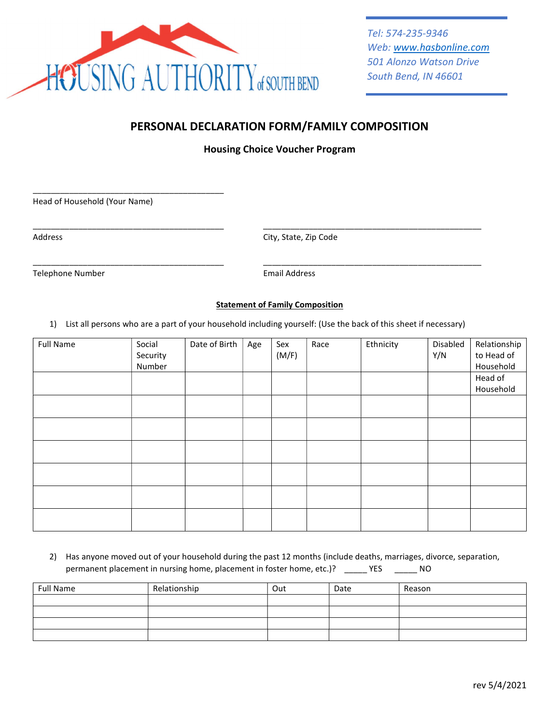

## PERSONAL DECLARATION FORM/FAMILY COMPOSITION

Housing Choice Voucher Program

Head of Household (Your Name)

\_\_\_\_\_\_\_\_\_\_\_\_\_\_\_\_\_\_\_\_\_\_\_\_\_\_\_\_\_\_\_\_\_\_\_\_\_\_\_\_\_\_

Address City, State, Zip Code

Telephone Number **Email Address** 

### Statement of Family Composition

1) List all persons who are a part of your household including yourself: (Use the back of this sheet if necessary)

\_\_\_\_\_\_\_\_\_\_\_\_\_\_\_\_\_\_\_\_\_\_\_\_\_\_\_\_\_\_\_\_\_\_\_\_\_\_\_\_\_\_ \_\_\_\_\_\_\_\_\_\_\_\_\_\_\_\_\_\_\_\_\_\_\_\_\_\_\_\_\_\_\_\_\_\_\_\_\_\_\_\_\_\_\_\_\_\_\_\_

\_\_\_\_\_\_\_\_\_\_\_\_\_\_\_\_\_\_\_\_\_\_\_\_\_\_\_\_\_\_\_\_\_\_\_\_\_\_\_\_\_\_ \_\_\_\_\_\_\_\_\_\_\_\_\_\_\_\_\_\_\_\_\_\_\_\_\_\_\_\_\_\_\_\_\_\_\_\_\_\_\_\_\_\_\_\_\_\_\_\_

| <b>Full Name</b> | Social<br>Security<br>Number | Date of Birth | Age | Sex<br>(M/F) | Race | Ethnicity | Disabled<br>Y/N | Relationship<br>to Head of<br>Household |
|------------------|------------------------------|---------------|-----|--------------|------|-----------|-----------------|-----------------------------------------|
|                  |                              |               |     |              |      |           |                 | Head of<br>Household                    |
|                  |                              |               |     |              |      |           |                 |                                         |
|                  |                              |               |     |              |      |           |                 |                                         |
|                  |                              |               |     |              |      |           |                 |                                         |
|                  |                              |               |     |              |      |           |                 |                                         |
|                  |                              |               |     |              |      |           |                 |                                         |
|                  |                              |               |     |              |      |           |                 |                                         |

2) Has anyone moved out of your household during the past 12 months (include deaths, marriages, divorce, separation, permanent placement in nursing home, placement in foster home, etc.)? \_\_\_\_\_ YES \_\_\_\_\_\_ NO

| <b>Full Name</b> | Relationship | Out | Date | Reason |
|------------------|--------------|-----|------|--------|
|                  |              |     |      |        |
|                  |              |     |      |        |
|                  |              |     |      |        |
|                  |              |     |      |        |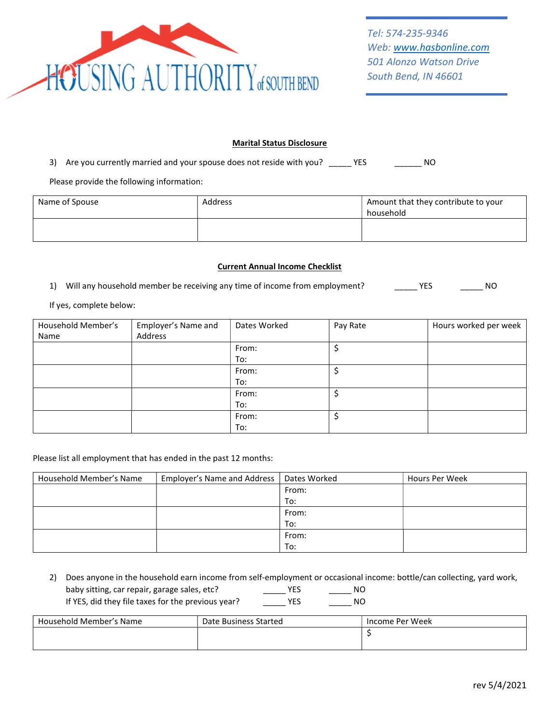

#### Marital Status Disclosure

3) Are you currently married and your spouse does not reside with you? \_\_\_\_\_ YES \_\_\_\_ \_\_\_\_\_\_ NO

Please provide the following information:

| Name of Spouse | <b>Address</b> | Amount that they contribute to your<br>household |
|----------------|----------------|--------------------------------------------------|
|                |                |                                                  |

#### Current Annual Income Checklist

1) Will any household member be receiving any time of income from employment? \_\_\_\_\_\_ YES \_\_\_\_\_\_\_ NO

#### If yes, complete below:

| Household Member's | Employer's Name and | Dates Worked | Pay Rate | Hours worked per week |
|--------------------|---------------------|--------------|----------|-----------------------|
| Name               | Address             |              |          |                       |
|                    |                     | From:        |          |                       |
|                    |                     | To:          |          |                       |
|                    |                     | From:        |          |                       |
|                    |                     | To:          |          |                       |
|                    |                     | From:        |          |                       |
|                    |                     | To:          |          |                       |
|                    |                     | From:        |          |                       |
|                    |                     | To:          |          |                       |

#### Please list all employment that has ended in the past 12 months:

| Household Member's Name | Employer's Name and Address   Dates Worked |       | Hours Per Week |
|-------------------------|--------------------------------------------|-------|----------------|
|                         |                                            | From: |                |
|                         |                                            | To:   |                |
|                         |                                            | From: |                |
|                         |                                            | To:   |                |
|                         |                                            | From: |                |
|                         |                                            | To:   |                |

2) Does anyone in the household earn income from self-employment or occasional income: bottle/can collecting, yard work, baby sitting, car repair, garage sales, etc? The MO YES The NO If YES, did they file taxes for the previous year? \_\_\_\_\_ YES \_\_\_\_\_ NO

| Household Member's Name | Date Business Started | Income Per Week |
|-------------------------|-----------------------|-----------------|
|                         |                       |                 |
|                         |                       |                 |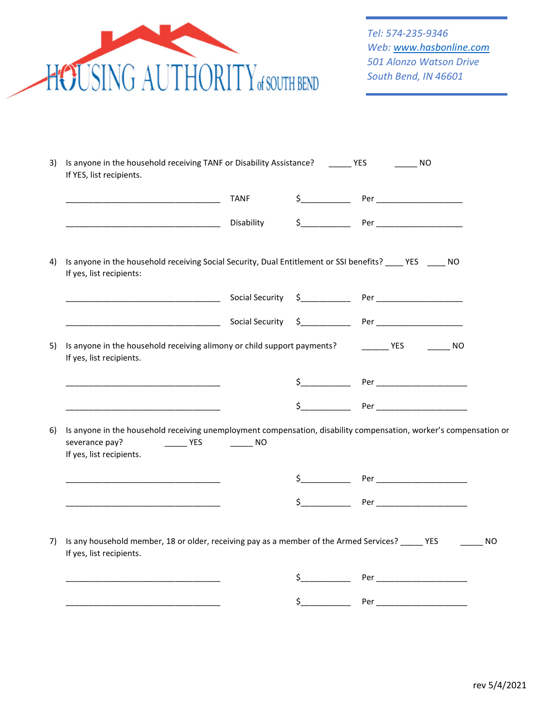

|    |                                                                                                                                                                                                                                | TANF                                      |               |                                      |
|----|--------------------------------------------------------------------------------------------------------------------------------------------------------------------------------------------------------------------------------|-------------------------------------------|---------------|--------------------------------------|
|    |                                                                                                                                                                                                                                | Disability                                |               | $\frac{1}{2}$ Per __________________ |
|    | Is anyone in the household receiving Social Security, Dual Entitlement or SSI benefits? ____ YES _____ NO<br>If yes, list recipients:                                                                                          |                                           |               |                                      |
|    |                                                                                                                                                                                                                                |                                           |               |                                      |
|    | Den and the social Security Services of Per Allin and the Security Services of Per Allin and the Security Services of Permission and the Services of Permission and the Services of Services of Permission and Services of Per |                                           |               |                                      |
| 5) | Is anyone in the household receiving alimony or child support payments?<br>If yes, list recipients.                                                                                                                            |                                           |               | NO <sub>N</sub>                      |
|    |                                                                                                                                                                                                                                |                                           |               |                                      |
|    |                                                                                                                                                                                                                                |                                           |               |                                      |
|    |                                                                                                                                                                                                                                |                                           |               | $\frac{1}{2}$ Per                    |
|    | Is anyone in the household receiving unemployment compensation, disability compensation, worker's compensation or<br>severance pay?<br>YES<br>If yes, list recipients.                                                         | $\frac{1}{\sqrt{1-\frac{1}{2}}}\text{NO}$ |               |                                      |
|    |                                                                                                                                                                                                                                |                                           |               |                                      |
| 6) |                                                                                                                                                                                                                                |                                           |               | $\uparrow$ Per                       |
|    | Is any household member, 18 or older, receiving pay as a member of the Armed Services? _____ YES                                                                                                                               |                                           |               |                                      |
| 7) | If yes, list recipients.                                                                                                                                                                                                       |                                           |               |                                      |
|    |                                                                                                                                                                                                                                |                                           | $\frac{1}{2}$ |                                      |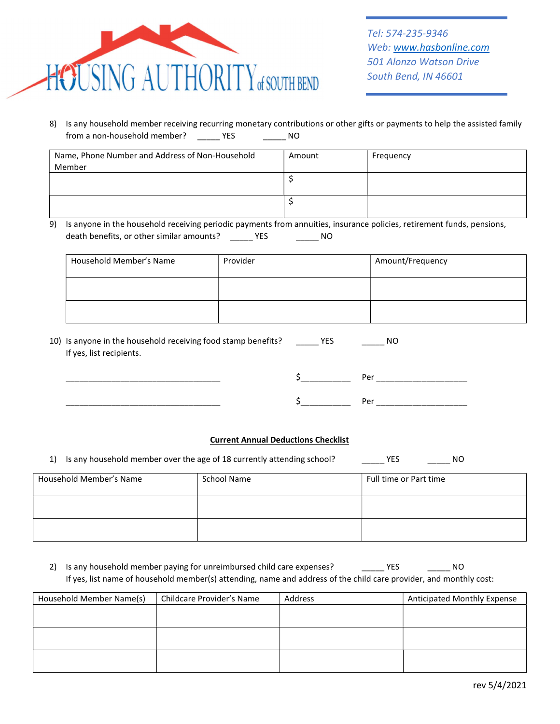

8) Is any household member receiving recurring monetary contributions or other gifts or payments to help the assisted family from a non-household member? \_\_\_\_\_\_ YES \_\_\_\_\_\_\_\_ NO

| Name, Phone Number and Address of Non-Household | Amount | Frequency |
|-------------------------------------------------|--------|-----------|
| Member                                          |        |           |
|                                                 |        |           |
|                                                 |        |           |
|                                                 |        |           |
|                                                 |        |           |

9) Is anyone in the household receiving periodic payments from annuities, insurance policies, retirement funds, pensions, death benefits, or other similar amounts? \_\_\_\_\_\_ YES \_\_\_\_\_\_\_\_\_ NO

| Household Member's Name | Provider | Amount/Frequency |
|-------------------------|----------|------------------|
|                         |          |                  |
|                         |          |                  |

| 10) Is anyone in the household receiving food stamp benefits? | <b>YES</b> | NO |
|---------------------------------------------------------------|------------|----|
| If yes, list recipients.                                      |            |    |

| _______________ | __ | Dar<br>_________      |
|-----------------|----|-----------------------|
|                 | __ | א∩<br>_______________ |

#### Current Annual Deductions Checklist

|  | 1) Is any household member over the age of 18 currently attending school? |  |  |  | YES | NO. |
|--|---------------------------------------------------------------------------|--|--|--|-----|-----|
|--|---------------------------------------------------------------------------|--|--|--|-----|-----|

| Household Member's Name | School Name | Full time or Part time |
|-------------------------|-------------|------------------------|
|                         |             |                        |
|                         |             |                        |

2) Is any household member paying for unreimbursed child care expenses? \_\_\_\_\_\_\_\_ YES \_\_\_\_\_\_\_\_\_ NO If yes, list name of household member(s) attending, name and address of the child care provider, and monthly cost:

| Household Member Name(s) | Childcare Provider's Name | Address | Anticipated Monthly Expense |
|--------------------------|---------------------------|---------|-----------------------------|
|                          |                           |         |                             |
|                          |                           |         |                             |
|                          |                           |         |                             |
|                          |                           |         |                             |
|                          |                           |         |                             |
|                          |                           |         |                             |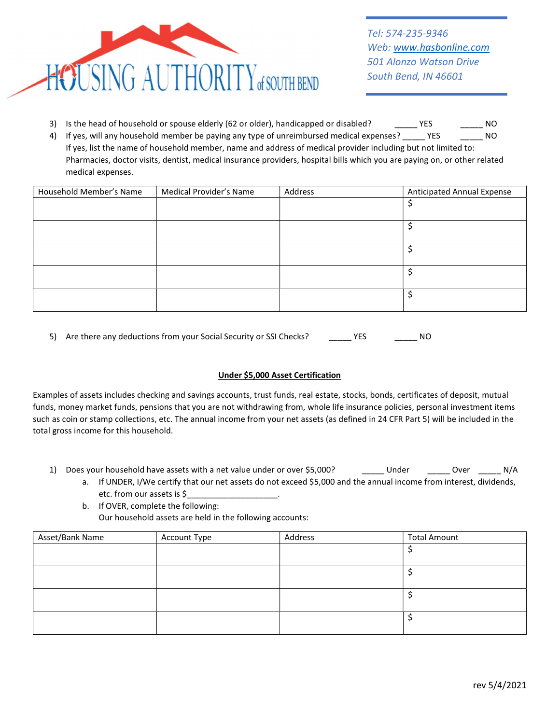

- 3) Is the head of household or spouse elderly (62 or older), handicapped or disabled? \_\_\_\_\_\_ YES \_\_\_\_\_\_\_\_ NO
- 4) If yes, will any household member be paying any type of unreimbursed medical expenses? \_\_\_\_\_ YES \_\_\_\_\_\_\_\_ NO If yes, list the name of household member, name and address of medical provider including but not limited to: Pharmacies, doctor visits, dentist, medical insurance providers, hospital bills which you are paying on, or other related medical expenses.

| Household Member's Name | Medical Provider's Name | Address | <b>Anticipated Annual Expense</b> |
|-------------------------|-------------------------|---------|-----------------------------------|
|                         |                         |         |                                   |
|                         |                         |         |                                   |
|                         |                         |         |                                   |
|                         |                         |         |                                   |
|                         |                         |         |                                   |

5) Are there any deductions from your Social Security or SSI Checks? YES YES NO

### Under \$5,000 Asset Certification

Examples of assets includes checking and savings accounts, trust funds, real estate, stocks, bonds, certificates of deposit, mutual funds, money market funds, pensions that you are not withdrawing from, whole life insurance policies, personal investment items such as coin or stamp collections, etc. The annual income from your net assets (as defined in 24 CFR Part 5) will be included in the total gross income for this household.

- 1) Does your household have assets with a net value under or over \$5,000? \_\_\_\_\_\_ Under \_\_\_\_\_\_ Over \_\_\_\_\_\_ N/A
	- a. If UNDER, I/We certify that our net assets do not exceed \$5,000 and the annual income from interest, dividends, etc. from our assets is \$\_\_\_\_\_\_\_\_\_\_\_\_\_\_\_\_\_\_\_\_.
	- b. If OVER, complete the following: Our household assets are held in the following accounts:

| Asset/Bank Name | Account Type | Address | <b>Total Amount</b> |
|-----------------|--------------|---------|---------------------|
|                 |              |         |                     |
|                 |              |         |                     |
|                 |              |         |                     |
|                 |              |         |                     |
|                 |              |         |                     |
|                 |              |         |                     |
|                 |              |         |                     |
|                 |              |         |                     |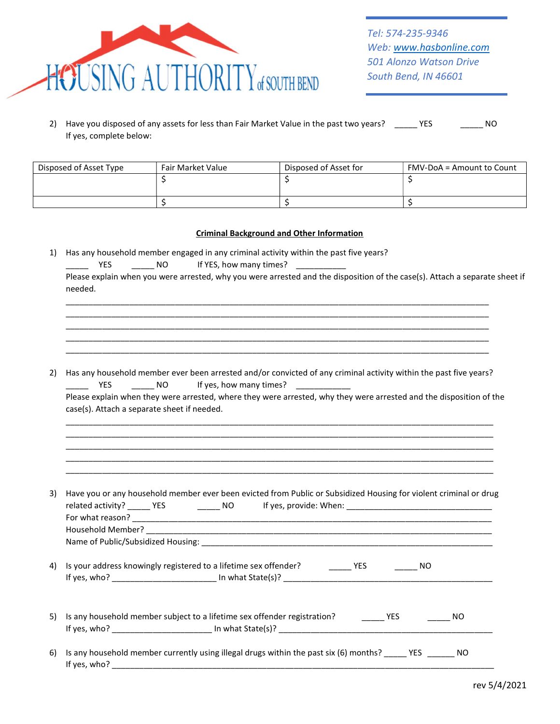

| 2) Have you disposed of any assets for less than Fair Market Value in the past two years? | YES. | NO.<br>______ |
|-------------------------------------------------------------------------------------------|------|---------------|
| If yes, complete below:                                                                   |      |               |

| Disposed of Asset Type | Fair Market Value | Disposed of Asset for | FMV-DoA = Amount to Count |
|------------------------|-------------------|-----------------------|---------------------------|
|                        |                   |                       |                           |
|                        |                   |                       |                           |
|                        |                   |                       |                           |

#### Criminal Background and Other Information

1) Has any household member engaged in any criminal activity within the past five years?

\_\_\_\_\_\_ YES \_\_\_\_\_\_\_ NO lf YES, how many times? \_\_\_\_\_\_\_\_\_

| <b>THES</b> NO                              | Has any household member ever been arrested and/or convicted of any criminal activity within the past five years?<br>If yes, how many times? ____________ |
|---------------------------------------------|-----------------------------------------------------------------------------------------------------------------------------------------------------------|
| case(s). Attach a separate sheet if needed. | Please explain when they were arrested, where they were arrested, why they were arrested and the disposition of the                                       |
|                                             |                                                                                                                                                           |
|                                             |                                                                                                                                                           |
|                                             | Have you or any household member ever been evicted from Public or Subsidized Housing for violent criminal or drug                                         |
|                                             |                                                                                                                                                           |
|                                             | Is your address knowingly registered to a lifetime sex offender? ________ YES _________ NO                                                                |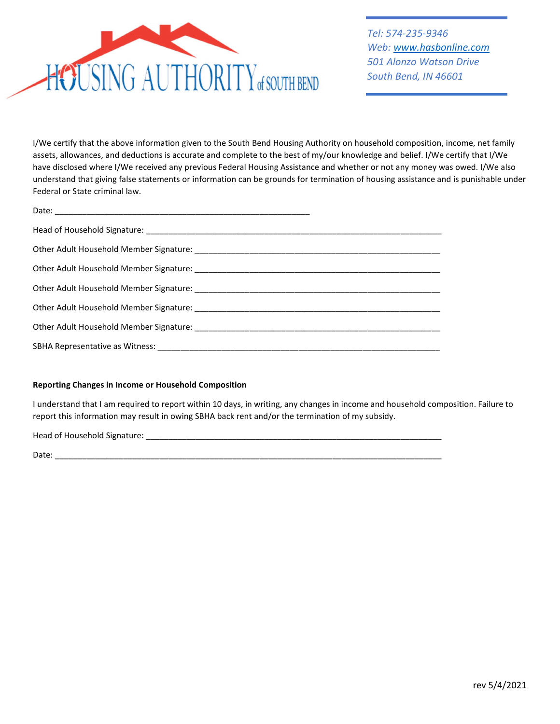

Tel: 574-235-9346 Web: www.hasbonline.com 501 Alonzo Watson Drive South Bend, IN 46601

I/We certify that the above information given to the South Bend Housing Authority on household composition, income, net family assets, allowances, and deductions is accurate and complete to the best of my/our knowledge and belief. I/We certify that I/We have disclosed where I/We received any previous Federal Housing Assistance and whether or not any money was owed. I/We also understand that giving false statements or information can be grounds for termination of housing assistance and is punishable under Federal or State criminal law.

#### Reporting Changes in Income or Household Composition

I understand that I am required to report within 10 days, in writing, any changes in income and household composition. Failure to report this information may result in owing SBHA back rent and/or the termination of my subsidy.

Head of Household Signature: \_\_\_\_\_\_\_\_\_\_\_\_\_\_\_\_\_\_\_\_\_\_\_\_\_\_\_\_\_\_\_\_\_\_\_\_\_\_\_\_\_\_\_\_\_\_\_\_\_\_\_\_\_\_\_\_\_\_\_\_\_\_\_\_\_

Date: \_\_\_\_\_\_\_\_\_\_\_\_\_\_\_\_\_\_\_\_\_\_\_\_\_\_\_\_\_\_\_\_\_\_\_\_\_\_\_\_\_\_\_\_\_\_\_\_\_\_\_\_\_\_\_\_\_\_\_\_\_\_\_\_\_\_\_\_\_\_\_\_\_\_\_\_\_\_\_\_\_\_\_\_\_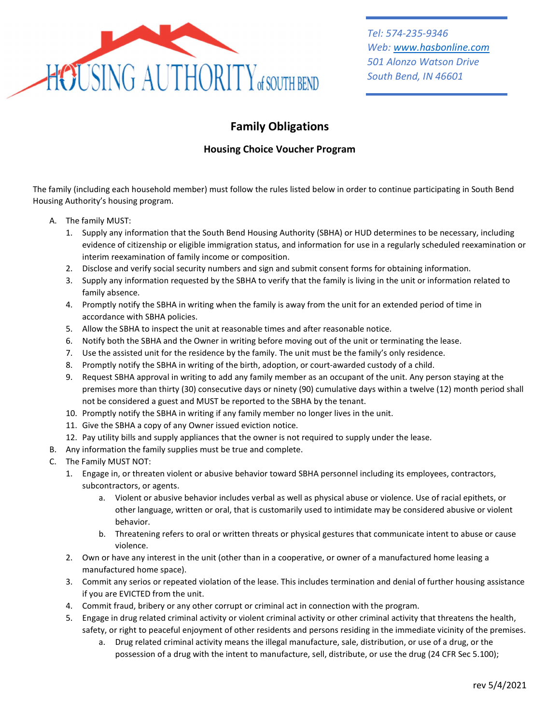

# Family Obligations

## Housing Choice Voucher Program

The family (including each household member) must follow the rules listed below in order to continue participating in South Bend Housing Authority's housing program.

- A. The family MUST:
	- 1. Supply any information that the South Bend Housing Authority (SBHA) or HUD determines to be necessary, including evidence of citizenship or eligible immigration status, and information for use in a regularly scheduled reexamination or interim reexamination of family income or composition.
	- 2. Disclose and verify social security numbers and sign and submit consent forms for obtaining information.
	- 3. Supply any information requested by the SBHA to verify that the family is living in the unit or information related to family absence.
	- 4. Promptly notify the SBHA in writing when the family is away from the unit for an extended period of time in accordance with SBHA policies.
	- 5. Allow the SBHA to inspect the unit at reasonable times and after reasonable notice.
	- 6. Notify both the SBHA and the Owner in writing before moving out of the unit or terminating the lease.
	- 7. Use the assisted unit for the residence by the family. The unit must be the family's only residence.
	- 8. Promptly notify the SBHA in writing of the birth, adoption, or court-awarded custody of a child.
	- 9. Request SBHA approval in writing to add any family member as an occupant of the unit. Any person staying at the premises more than thirty (30) consecutive days or ninety (90) cumulative days within a twelve (12) month period shall not be considered a guest and MUST be reported to the SBHA by the tenant.
	- 10. Promptly notify the SBHA in writing if any family member no longer lives in the unit.
	- 11. Give the SBHA a copy of any Owner issued eviction notice.
	- 12. Pay utility bills and supply appliances that the owner is not required to supply under the lease.
- B. Any information the family supplies must be true and complete.
- C. The Family MUST NOT:
	- 1. Engage in, or threaten violent or abusive behavior toward SBHA personnel including its employees, contractors, subcontractors, or agents.
		- a. Violent or abusive behavior includes verbal as well as physical abuse or violence. Use of racial epithets, or other language, written or oral, that is customarily used to intimidate may be considered abusive or violent behavior.
		- b. Threatening refers to oral or written threats or physical gestures that communicate intent to abuse or cause violence.
	- 2. Own or have any interest in the unit (other than in a cooperative, or owner of a manufactured home leasing a manufactured home space).
	- 3. Commit any serios or repeated violation of the lease. This includes termination and denial of further housing assistance if you are EVICTED from the unit.
	- 4. Commit fraud, bribery or any other corrupt or criminal act in connection with the program.
	- 5. Engage in drug related criminal activity or violent criminal activity or other criminal activity that threatens the health, safety, or right to peaceful enjoyment of other residents and persons residing in the immediate vicinity of the premises.
		- a. Drug related criminal activity means the illegal manufacture, sale, distribution, or use of a drug, or the possession of a drug with the intent to manufacture, sell, distribute, or use the drug (24 CFR Sec 5.100);